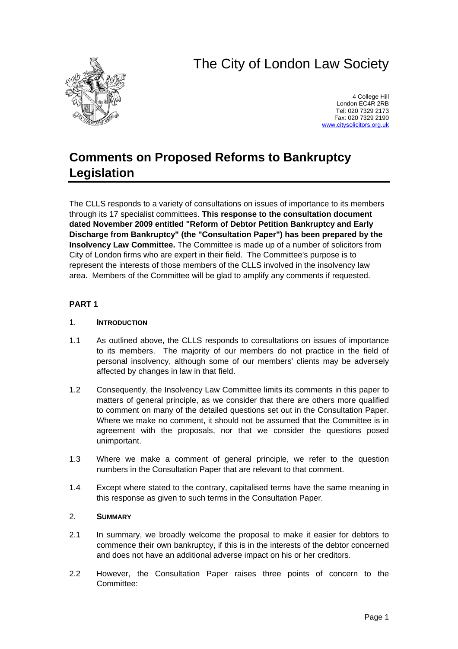# The City of London Law Society



4 College Hill London EC4R 2RB Tel: 020 7329 2173 Fax: 020 7329 2190 [www.citysolicitors.org.uk](http://www.citysolicitors.org.uk/)

## **Comments on Proposed Reforms to Bankruptcy Legislation**

The CLLS responds to a variety of consultations on issues of importance to its members through its 17 specialist committees. **This response to the consultation document dated November 2009 entitled "Reform of Debtor Petition Bankruptcy and Early Discharge from Bankruptcy" (the "Consultation Paper") has been prepared by the Insolvency Law Committee.** The Committee is made up of a number of solicitors from City of London firms who are expert in their field. The Committee's purpose is to represent the interests of those members of the CLLS involved in the insolvency law area. Members of the Committee will be glad to amplify any comments if requested.

#### **PART 1**

#### 1. **INTRODUCTION**

- 1.1 As outlined above, the CLLS responds to consultations on issues of importance to its members. The majority of our members do not practice in the field of personal insolvency, although some of our members' clients may be adversely affected by changes in law in that field.
- 1.2 Consequently, the Insolvency Law Committee limits its comments in this paper to matters of general principle, as we consider that there are others more qualified to comment on many of the detailed questions set out in the Consultation Paper. Where we make no comment, it should not be assumed that the Committee is in agreement with the proposals, nor that we consider the questions posed unimportant.
- 1.3 Where we make a comment of general principle, we refer to the question numbers in the Consultation Paper that are relevant to that comment.
- 1.4 Except where stated to the contrary, capitalised terms have the same meaning in this response as given to such terms in the Consultation Paper.

#### 2. **SUMMARY**

- 2.1 In summary, we broadly welcome the proposal to make it easier for debtors to commence their own bankruptcy, if this is in the interests of the debtor concerned and does not have an additional adverse impact on his or her creditors.
- 2.2 However, the Consultation Paper raises three points of concern to the Committee: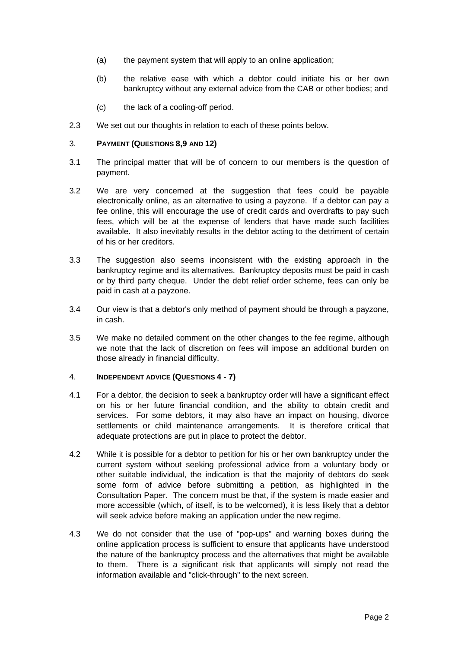- (a) the payment system that will apply to an online application;
- (b) the relative ease with which a debtor could initiate his or her own bankruptcy without any external advice from the CAB or other bodies; and
- (c) the lack of a cooling-off period.
- 2.3 We set out our thoughts in relation to each of these points below.

#### 3. **PAYMENT (QUESTIONS 8,9 AND 12)**

- 3.1 The principal matter that will be of concern to our members is the question of payment.
- 3.2 We are very concerned at the suggestion that fees could be payable electronically online, as an alternative to using a payzone. If a debtor can pay a fee online, this will encourage the use of credit cards and overdrafts to pay such fees, which will be at the expense of lenders that have made such facilities available. It also inevitably results in the debtor acting to the detriment of certain of his or her creditors.
- 3.3 The suggestion also seems inconsistent with the existing approach in the bankruptcy regime and its alternatives. Bankruptcy deposits must be paid in cash or by third party cheque. Under the debt relief order scheme, fees can only be paid in cash at a payzone.
- 3.4 Our view is that a debtor's only method of payment should be through a payzone, in cash.
- 3.5 We make no detailed comment on the other changes to the fee regime, although we note that the lack of discretion on fees will impose an additional burden on those already in financial difficulty.

#### 4. **INDEPENDENT ADVICE (QUESTIONS 4 - 7)**

- 4.1 For a debtor, the decision to seek a bankruptcy order will have a significant effect on his or her future financial condition, and the ability to obtain credit and services. For some debtors, it may also have an impact on housing, divorce settlements or child maintenance arrangements. It is therefore critical that adequate protections are put in place to protect the debtor.
- 4.2 While it is possible for a debtor to petition for his or her own bankruptcy under the current system without seeking professional advice from a voluntary body or other suitable individual, the indication is that the majority of debtors do seek some form of advice before submitting a petition, as highlighted in the Consultation Paper. The concern must be that, if the system is made easier and more accessible (which, of itself, is to be welcomed), it is less likely that a debtor will seek advice before making an application under the new regime.
- 4.3 We do not consider that the use of "pop-ups" and warning boxes during the online application process is sufficient to ensure that applicants have understood the nature of the bankruptcy process and the alternatives that might be available to them. There is a significant risk that applicants will simply not read the information available and "click-through" to the next screen.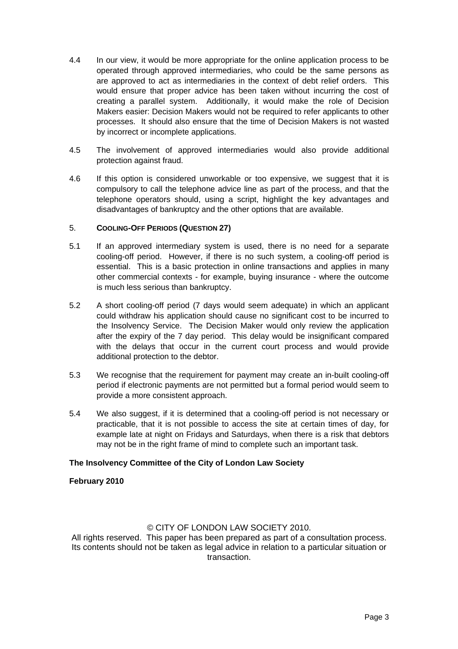- 4.4 In our view, it would be more appropriate for the online application process to be operated through approved intermediaries, who could be the same persons as are approved to act as intermediaries in the context of debt relief orders. This would ensure that proper advice has been taken without incurring the cost of creating a parallel system. Additionally, it would make the role of Decision Makers easier: Decision Makers would not be required to refer applicants to other processes. It should also ensure that the time of Decision Makers is not wasted by incorrect or incomplete applications.
- 4.5 The involvement of approved intermediaries would also provide additional protection against fraud.
- 4.6 If this option is considered unworkable or too expensive, we suggest that it is compulsory to call the telephone advice line as part of the process, and that the telephone operators should, using a script, highlight the key advantages and disadvantages of bankruptcy and the other options that are available.

#### 5. **COOLING-OFF PERIODS (QUESTION 27)**

- 5.1 If an approved intermediary system is used, there is no need for a separate cooling-off period. However, if there is no such system, a cooling-off period is essential. This is a basic protection in online transactions and applies in many other commercial contexts - for example, buying insurance - where the outcome is much less serious than bankruptcy.
- 5.2 A short cooling-off period (7 days would seem adequate) in which an applicant could withdraw his application should cause no significant cost to be incurred to the Insolvency Service. The Decision Maker would only review the application after the expiry of the 7 day period. This delay would be insignificant compared with the delays that occur in the current court process and would provide additional protection to the debtor.
- 5.3 We recognise that the requirement for payment may create an in-built cooling-off period if electronic payments are not permitted but a formal period would seem to provide a more consistent approach.
- 5.4 We also suggest, if it is determined that a cooling-off period is not necessary or practicable, that it is not possible to access the site at certain times of day, for example late at night on Fridays and Saturdays, when there is a risk that debtors may not be in the right frame of mind to complete such an important task.

#### **The Insolvency Committee of the City of London Law Society**

#### **February 2010**

### © CITY OF LONDON LAW SOCIETY 2010.

All rights reserved. This paper has been prepared as part of a consultation process. Its contents should not be taken as legal advice in relation to a particular situation or transaction.